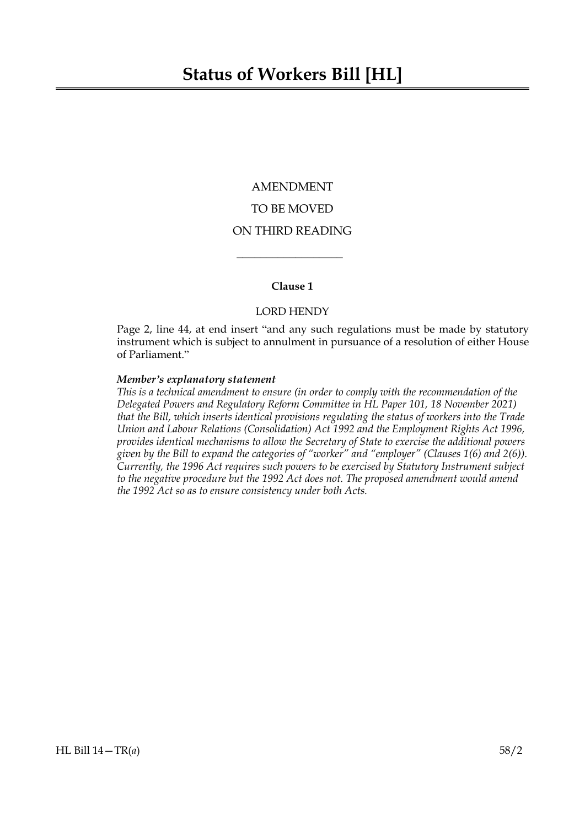## AMENDMENT TO BE MOVED ON THIRD READING

## **Clause 1**

 $\overline{\phantom{a}}$  , where  $\overline{\phantom{a}}$ 

## LORD HENDY

Page 2, line 44, at end insert "and any such regulations must be made by statutory instrument which is subject to annulment in pursuance of a resolution of either House of Parliament."

#### *Member's explanatory statement*

*This is a technical amendment to ensure (in order to comply with the recommendation of the Delegated Powers and Regulatory Reform Committee in HL Paper 101, 18 November 2021) that the Bill, which inserts identical provisions regulating the status of workers into the Trade Union and Labour Relations (Consolidation) Act 1992 and the Employment Rights Act 1996, provides identical mechanisms to allow the Secretary of State to exercise the additional powers given by the Bill to expand the categories of "worker" and "employer" (Clauses 1(6) and 2(6)). Currently, the 1996 Act requires such powers to be exercised by Statutory Instrument subject to the negative procedure but the 1992 Act does not. The proposed amendment would amend the 1992 Act so as to ensure consistency under both Acts.*